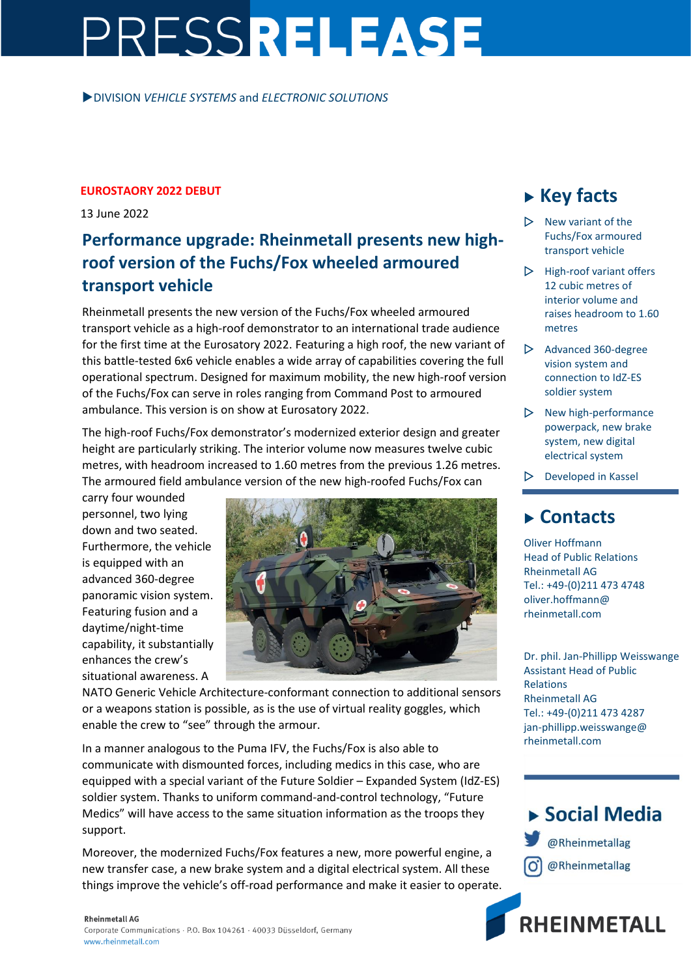# PRESSRELEASE

DIVISION *VEHICLE SYSTEMS* and *ELECTRONIC SOLUTIONS*

#### **EUROSTAORY 2022 DEBUT**

13 June 2022

### **Performance upgrade: Rheinmetall presents new highroof version of the Fuchs/Fox wheeled armoured transport vehicle**

Rheinmetall presents the new version of the Fuchs/Fox wheeled armoured transport vehicle as a high-roof demonstrator to an international trade audience for the first time at the Eurosatory 2022. Featuring a high roof, the new variant of this battle-tested 6x6 vehicle enables a wide array of capabilities covering the full operational spectrum. Designed for maximum mobility, the new high-roof version of the Fuchs/Fox can serve in roles ranging from Command Post to armoured ambulance. This version is on show at Eurosatory 2022.

The high-roof Fuchs/Fox demonstrator's modernized exterior design and greater height are particularly striking. The interior volume now measures twelve cubic metres, with headroom increased to 1.60 metres from the previous 1.26 metres. The armoured field ambulance version of the new high-roofed Fuchs/Fox can

carry four wounded personnel, two lying down and two seated. Furthermore, the vehicle is equipped with an advanced 360-degree panoramic vision system. Featuring fusion and a daytime/night-time capability, it substantially enhances the crew's situational awareness. A



NATO Generic Vehicle Architecture-conformant connection to additional sensors or a weapons station is possible, as is the use of virtual reality goggles, which enable the crew to "see" through the armour.

In a manner analogous to the Puma IFV, the Fuchs/Fox is also able to communicate with dismounted forces, including medics in this case, who are equipped with a special variant of the Future Soldier – Expanded System (IdZ-ES) soldier system. Thanks to uniform command-and-control technology, "Future Medics" will have access to the same situation information as the troops they support.

Moreover, the modernized Fuchs/Fox features a new, more powerful engine, a new transfer case, a new brake system and a digital electrical system. All these things improve the vehicle's off-road performance and make it easier to operate.

## **Key facts**

- $\triangleright$  New variant of the Fuchs/Fox armoured transport vehicle
- $\triangleright$  High-roof variant offers 12 cubic metres of interior volume and raises headroom to 1.60 metres
- $\triangleright$  Advanced 360-degree vision system and connection to IdZ-ES soldier system
- $\triangleright$  New high-performance powerpack, new brake system, new digital electrical system
- $\triangleright$  Developed in Kassel

### **Contacts**

Oliver Hoffmann Head of Public Relations Rheinmetall AG Tel.: +49-(0)211 473 4748 oliver.hoffmann@ rheinmetall.com

Dr. phil. Jan-Phillipp Weisswange Assistant Head of Public Relations Rheinmetall AG Tel.: +49-(0)211 473 4287 jan-phillipp.weisswange@ rheinmetall.com



**RHEINMETALL**